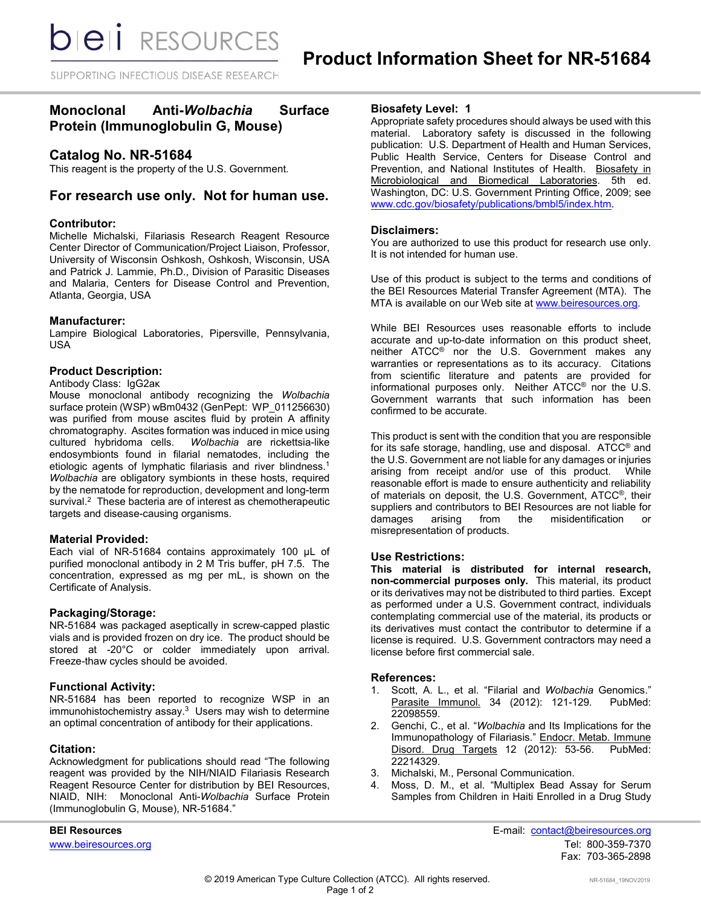**bieli** RESOURCES

SUPPORTING INFECTIOUS DISEASE RESEARCH

# **Monoclonal Anti-***Wolbachia* **Surface Protein (Immunoglobulin G, Mouse)**

# **Catalog No. NR-51684**

This reagent is the property of the U.S. Government.

# **For research use only. Not for human use.**

# **Contributor:**

Michelle Michalski, Filariasis Research Reagent Resource Center Director of Communication/Project Liaison, Professor, University of Wisconsin Oshkosh, Oshkosh, Wisconsin, USA and Patrick J. Lammie, Ph.D., Division of Parasitic Diseases and Malaria, Centers for Disease Control and Prevention, Atlanta, Georgia, USA

#### **Manufacturer:**

Lampire Biological Laboratories, Pipersville, Pennsylvania, USA

# **Product Description:**

#### Antibody Class: IgG2aκ

Mouse monoclonal antibody recognizing the *Wolbachia*  surface protein (WSP) wBm0432 (GenPept: WP\_011256630) was purified from mouse ascites fluid by protein A affinity chromatography. Ascites formation was induced in mice using<br>cultured hybridoma cells. Wolbachia are rickettsia-like Wolbachia are rickettsia-like endosymbionts found in filarial nematodes, including the etiologic agents of lymphatic filariasis and river blindness.<sup>1</sup> *Wolbachia* are obligatory symbionts in these hosts, required by the nematode for reproduction, development and long-term survival.<sup>2</sup> These bacteria are of interest as chemotherapeutic targets and disease-causing organisms.

# **Material Provided:**

Each vial of NR-51684 contains approximately 100 µL of purified monoclonal antibody in 2 M Tris buffer, pH 7.5. The concentration, expressed as mg per mL, is shown on the Certificate of Analysis.

# **Packaging/Storage:**

NR-51684 was packaged aseptically in screw-capped plastic vials and is provided frozen on dry ice. The product should be stored at -20°C or colder immediately upon arrival. Freeze-thaw cycles should be avoided.

# **Functional Activity:**

NR-51684 has been reported to recognize WSP in an immunohistochemistry assay. 3 Users may wish to determine an optimal concentration of antibody for their applications.

# **Citation:**

Acknowledgment for publications should read "The following reagent was provided by the NIH/NIAID Filariasis Research Reagent Resource Center for distribution by BEI Resources, NIAID, NIH: Monoclonal Anti-*Wolbachia* Surface Protein (Immunoglobulin G, Mouse), NR-51684."

# **Biosafety Level: 1**

Appropriate safety procedures should always be used with this material. Laboratory safety is discussed in the following publication: U.S. Department of Health and Human Services, Public Health Service, Centers for Disease Control and Prevention, and National Institutes of Health. Biosafety in Microbiological and Biomedical Laboratories. 5th ed. Washington, DC: U.S. Government Printing Office, 2009; see [www.cdc.gov/biosafety/publications/bmbl5/index.htm.](http://www.cdc.gov/biosafety/publications/bmbl5/index.htm)

#### **Disclaimers:**

You are authorized to use this product for research use only. It is not intended for human use.

Use of this product is subject to the terms and conditions of the BEI Resources Material Transfer Agreement (MTA). The MTA is available on our Web site at [www.beiresources.org.](http://www.beiresources.org/)

While BEI Resources uses reasonable efforts to include accurate and up-to-date information on this product sheet, neither ATCC<sup>®</sup> nor the U.S. Government makes any warranties or representations as to its accuracy. Citations from scientific literature and patents are provided for informational purposes only. Neither ATCC® nor the U.S. Government warrants that such information has been confirmed to be accurate.

This product is sent with the condition that you are responsible for its safe storage, handling, use and disposal. ATCC® and the U.S. Government are not liable for any damages or injuries arising from receipt and/or use of this product. While reasonable effort is made to ensure authenticity and reliability of materials on deposit, the U.S. Government, ATCC®, their suppliers and contributors to BEI Resources are not liable for<br>damages arising from the misidentification or damages arising from the misidentification or misrepresentation of products.

#### **Use Restrictions:**

**This material is distributed for internal research, non-commercial purposes only.** This material, its product or its derivatives may not be distributed to third parties. Except as performed under a U.S. Government contract, individuals contemplating commercial use of the material, its products or its derivatives must contact the contributor to determine if a license is required. U.S. Government contractors may need a license before first commercial sale.

#### **References:**

- 1. Scott, A. L., et al. "Filarial and *Wolbachia* Genomics." Parasite Immunol. 34 (2012): 121-129. PubMed: 22098559.
- 2. Genchi, C., et al. "*Wolbachia* and Its Implications for the Immunopathology of Filariasis." Endocr. Metab. Immune Disord. Drug Targets 12 (2012): 53-56. PubMed: 22214329.
- 3. Michalski, M., Personal Communication.<br>4. Moss, D. M., et al. "Multiplex Bead A
- Moss, D. M., et al. "Multiplex Bead Assay for Serum Samples from Children in Haiti Enrolled in a Drug Study

**BEI Resources** E-mail: contact@beiresources.org www.beiresources.orgTel: 800-359-7370 Fax: 703-365-2898